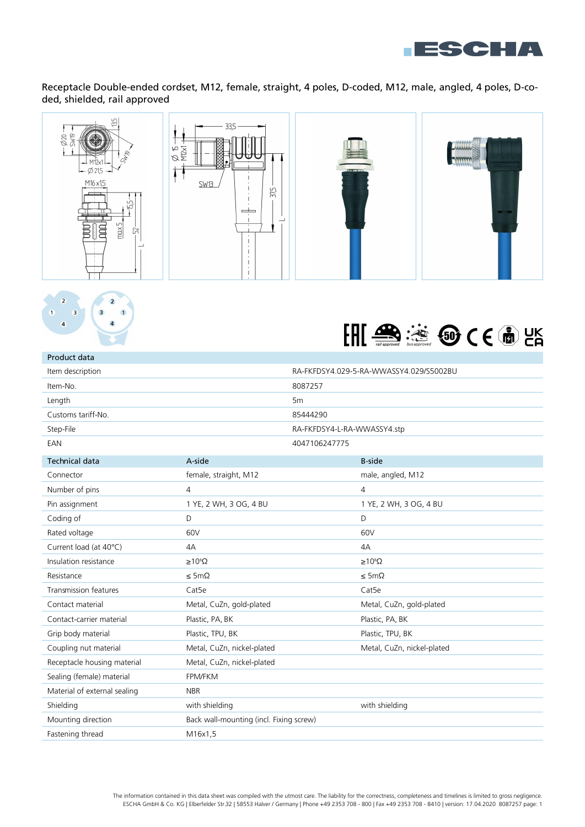

Receptacle Double-ended cordset, M12, female, straight, 4 poles, D-coded, M12, male, angled, 4 poles, D-coded, shielded, rail approved











| Product data                 |                                         |                |                                         |  |
|------------------------------|-----------------------------------------|----------------|-----------------------------------------|--|
| Item description             |                                         |                | RA-FKFDSY4.029-5-RA-WWASSY4.029/S5002BU |  |
| Item-No.                     |                                         | 8087257        |                                         |  |
| Length                       |                                         | 5 <sub>m</sub> |                                         |  |
| Customs tariff-No.           |                                         | 85444290       |                                         |  |
| Step-File                    |                                         |                | RA-FKFDSY4-L-RA-WWASSY4.stp             |  |
| EAN                          |                                         | 4047106247775  |                                         |  |
| <b>Technical data</b>        | A-side                                  |                | <b>B-side</b>                           |  |
| Connector                    | female, straight, M12                   |                | male, angled, M12                       |  |
| Number of pins               | $\overline{4}$                          |                | $\overline{4}$                          |  |
| Pin assignment               | 1 YE, 2 WH, 3 OG, 4 BU                  |                | 1 YE, 2 WH, 3 OG, 4 BU                  |  |
| Coding of                    | D                                       |                | D                                       |  |
| Rated voltage                | 60V                                     |                | 60V                                     |  |
| Current load (at 40°C)       | 4A                                      |                | 4A                                      |  |
| Insulation resistance        | $\geq 10^8 \Omega$                      |                | $\geq 10^8 \Omega$                      |  |
| Resistance                   | $\leq$ 5m $\Omega$                      |                | $\leq$ 5m $\Omega$                      |  |
| Transmission features        | Cat <sub>5e</sub>                       |                | Cat <sub>5e</sub>                       |  |
| Contact material             | Metal, CuZn, gold-plated                |                | Metal, CuZn, gold-plated                |  |
| Contact-carrier material     | Plastic, PA, BK                         |                | Plastic, PA, BK                         |  |
| Grip body material           | Plastic, TPU, BK                        |                | Plastic, TPU, BK                        |  |
| Coupling nut material        | Metal, CuZn, nickel-plated              |                | Metal, CuZn, nickel-plated              |  |
| Receptacle housing material  | Metal, CuZn, nickel-plated              |                |                                         |  |
| Sealing (female) material    | FPM/FKM                                 |                |                                         |  |
| Material of external sealing | <b>NBR</b>                              |                |                                         |  |
| Shielding                    | with shielding                          |                | with shielding                          |  |
| Mounting direction           | Back wall-mounting (incl. Fixing screw) |                |                                         |  |
| Fastening thread             | M16x1,5                                 |                |                                         |  |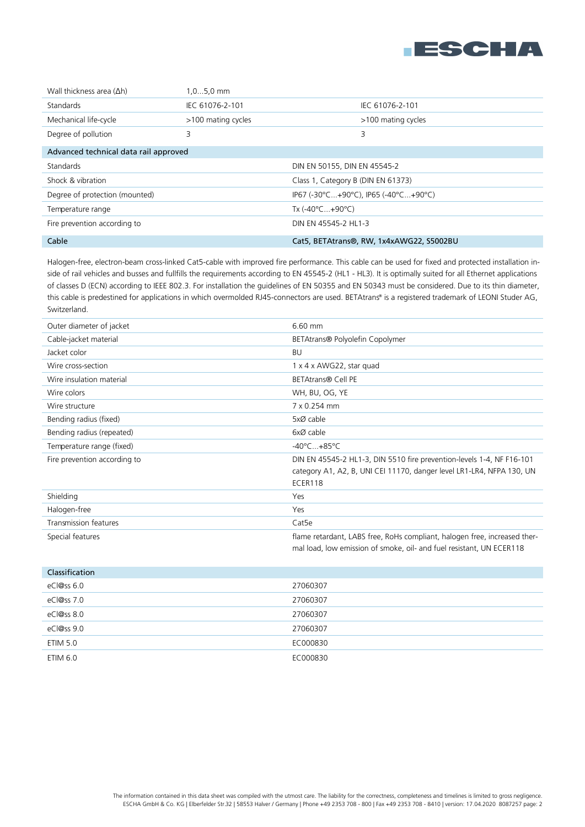

| Wall thickness area $(\Delta h)$      | $1,05,0$ mm        |                                          |                    |
|---------------------------------------|--------------------|------------------------------------------|--------------------|
| <b>Standards</b>                      | IEC 61076-2-101    |                                          | IEC 61076-2-101    |
| Mechanical life-cycle                 | >100 mating cycles |                                          | >100 mating cycles |
| Degree of pollution                   | 3                  | 3                                        |                    |
| Advanced technical data rail approved |                    |                                          |                    |
| <b>Standards</b>                      |                    | DIN EN 50155, DIN EN 45545-2             |                    |
| Shock & vibration                     |                    | Class 1, Category B (DIN EN 61373)       |                    |
| Degree of protection (mounted)        |                    | IP67 (-30°C+90°C), IP65 (-40°C+90°C)     |                    |
| Temperature range                     |                    | Tx $(-40^{\circ}$ C $+90^{\circ}$ C)     |                    |
| Fire prevention according to          |                    | DIN EN 45545-2 HL1-3                     |                    |
| Cable                                 |                    | Cat5, BETAtrans®, RW, 1x4xAWG22, S5002BU |                    |

Halogen-free, electron-beam cross-linked Cat5-cable with improved fire performance. This cable can be used for fixed and protected installation inside of rail vehicles and busses and fullfills the requirements according to EN 45545-2 (HL1 - HL3). It is optimally suited for all Ethernet applications of classes D (ECN) according to IEEE 802.3. For installation the guidelines of EN 50355 and EN 50343 must be considered. Due to its thin diameter, this cable is predestined for applications in which overmolded RJ45-connectors are used. BETAtrans® is a registered trademark of LEONI Studer AG, Switzerland.

| Outer diameter of jacket     | 6.60 mm                                                                                                                                           |
|------------------------------|---------------------------------------------------------------------------------------------------------------------------------------------------|
| Cable-jacket material        | BETAtrans <sup>®</sup> Polyolefin Copolymer                                                                                                       |
| Jacket color                 | BU                                                                                                                                                |
| Wire cross-section           | 1 x 4 x AWG22, star quad                                                                                                                          |
| Wire insulation material     | <b>BETAtrans® Cell PE</b>                                                                                                                         |
| Wire colors                  | WH, BU, OG, YE                                                                                                                                    |
| Wire structure               | 7 x 0.254 mm                                                                                                                                      |
| Bending radius (fixed)       | 5xØ cable                                                                                                                                         |
| Bending radius (repeated)    | 6xØ cable                                                                                                                                         |
| Temperature range (fixed)    | $-40^{\circ}$ C $+85^{\circ}$ C                                                                                                                   |
| Fire prevention according to | DIN EN 45545-2 HL1-3, DIN 5510 fire prevention-levels 1-4, NF F16-101                                                                             |
|                              | category A1, A2, B, UNI CEI 11170, danger level LR1-LR4, NFPA 130, UN                                                                             |
|                              | ECER118                                                                                                                                           |
| Shielding                    | Yes                                                                                                                                               |
| Halogen-free                 | Yes                                                                                                                                               |
| Transmission features        | Cat <sub>5e</sub>                                                                                                                                 |
| Special features             | flame retardant, LABS free, RoHs compliant, halogen free, increased ther-<br>mal load, low emission of smoke, oil- and fuel resistant, UN ECER118 |

| Classification |          |
|----------------|----------|
| $eC$  @ss 6.0  | 27060307 |
| eCl@ss 7.0     | 27060307 |
| eCl@ss 8.0     | 27060307 |
| eCl@ss 9.0     | 27060307 |
| ETIM 5.0       | EC000830 |
| ETIM 6.0       | EC000830 |